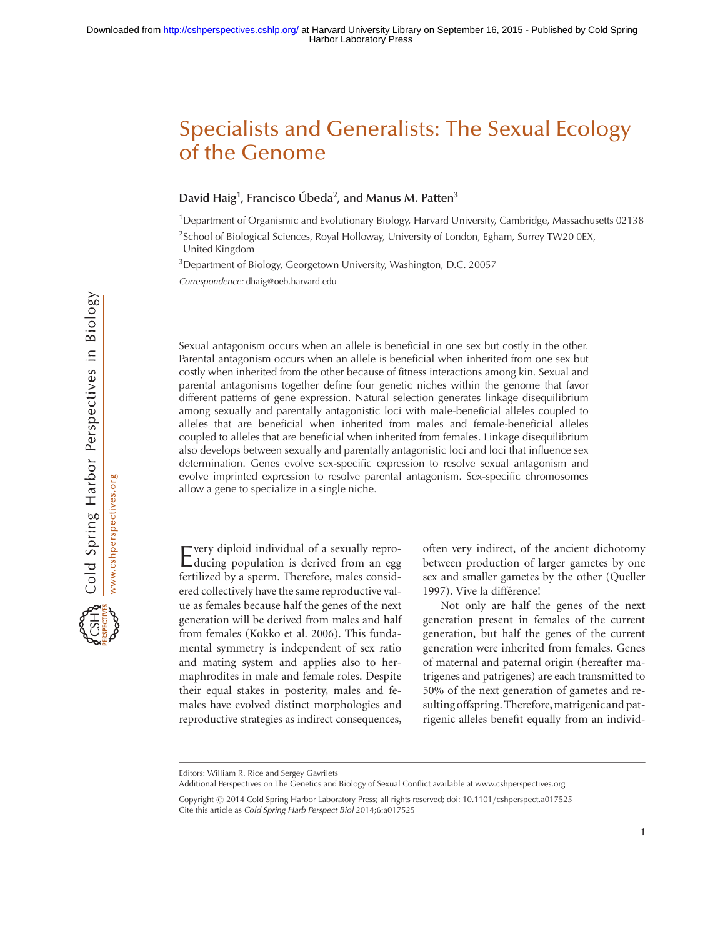# Specialists and Generalists: The Sexual Ecology of the Genome

### David Haig<sup>1</sup>, Francisco Úbeda<sup>2</sup>, and Manus M. Patten<sup>3</sup>

<sup>1</sup>Department of Organismic and Evolutionary Biology, Harvard University, Cambridge, Massachusetts 02138 <sup>2</sup>School of Biological Sciences, Royal Holloway, University of London, Egham, Surrey TW20 0EX, United Kingdom

<sup>3</sup>Department of Biology, Georgetown University, Washington, D.C. 20057

Correspondence: dhaig@oeb.harvard.edu

Sexual antagonism occurs when an allele is beneficial in one sex but costly in the other. Parental antagonism occurs when an allele is beneficial when inherited from one sex but costly when inherited from the other because of fitness interactions among kin. Sexual and parental antagonisms together define four genetic niches within the genome that favor different patterns of gene expression. Natural selection generates linkage disequilibrium among sexually and parentally antagonistic loci with male-beneficial alleles coupled to alleles that are beneficial when inherited from males and female-beneficial alleles coupled to alleles that are beneficial when inherited from females. Linkage disequilibrium also develops between sexually and parentally antagonistic loci and loci that influence sex determination. Genes evolve sex-specific expression to resolve sexual antagonism and evolve imprinted expression to resolve parental antagonism. Sex-specific chromosomes allow a gene to specialize in a single niche.

Every diploid individual of a sexually repro-ducing population is derived from an egg fertilized by a sperm. Therefore, males considered collectively have the same reproductive value as females because half the genes of the next generation will be derived from males and half from females (Kokko et al. 2006). This fundamental symmetry is independent of sex ratio and mating system and applies also to hermaphrodites in male and female roles. Despite their equal stakes in posterity, males and females have evolved distinct morphologies and reproductive strategies as indirect consequences,

often very indirect, of the ancient dichotomy between production of larger gametes by one sex and smaller gametes by the other (Queller 1997). Vive la différence!

Not only are half the genes of the next generation present in females of the current generation, but half the genes of the current generation were inherited from females. Genes of maternal and paternal origin (hereafter matrigenes and patrigenes) are each transmitted to 50% of the next generation of gametes and resulting offspring. Therefore, matrigenic and patrigenic alleles benefit equally from an individ-

Editors: William R. Rice and Sergey Gavrilets

Additional Perspectives on The Genetics and Biology of Sexual Conflict available at www.cshperspectives.org

Copyright @ 2014 Cold Spring Harbor Laboratory Press; all rights reserved; doi: 10.1101/cshperspect.a017525 Cite this article as Cold Spring Harb Perspect Biol 2014;6:a017525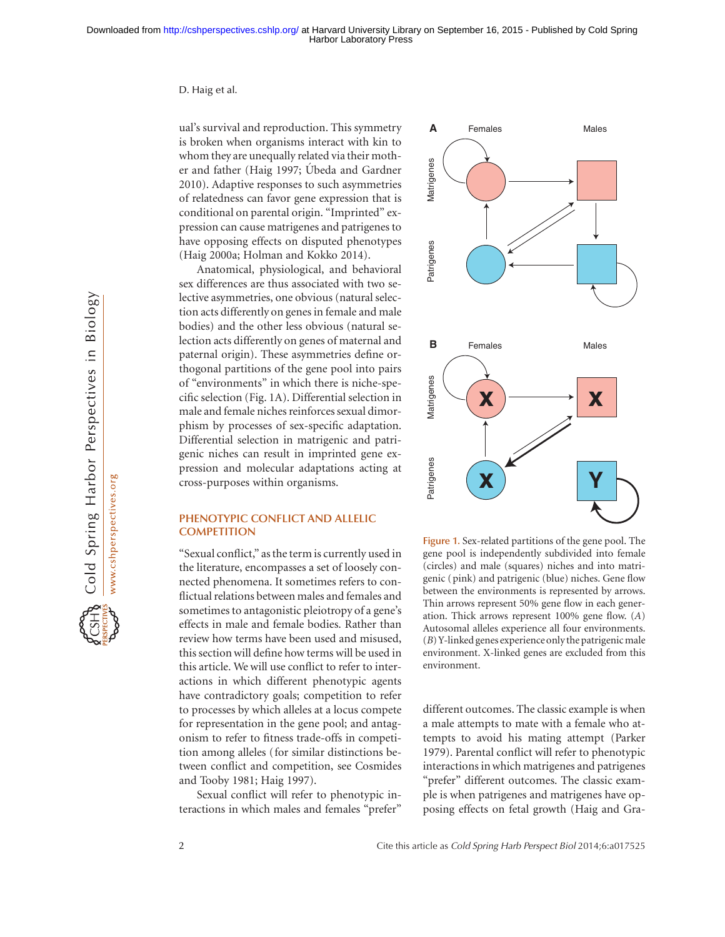ual's survival and reproduction. This symmetry is broken when organisms interact with kin to whom they are unequally related via their mother and father (Haig 1997; Úbeda and Gardner 2010). Adaptive responses to such asymmetries of relatedness can favor gene expression that is conditional on parental origin. "Imprinted" expression can cause matrigenes and patrigenes to have opposing effects on disputed phenotypes (Haig 2000a; Holman and Kokko 2014).

Anatomical, physiological, and behavioral sex differences are thus associated with two selective asymmetries, one obvious (natural selection acts differently on genes in female and male bodies) and the other less obvious (natural selection acts differently on genes of maternal and paternal origin). These asymmetries define orthogonal partitions of the gene pool into pairs of "environments" in which there is niche-specific selection (Fig. 1A). Differential selection in male and female niches reinforces sexual dimorphism by processes of sex-specific adaptation. Differential selection in matrigenic and patrigenic niches can result in imprinted gene expression and molecular adaptations acting at cross-purposes within organisms.

#### PHENOTYPIC CONFLICT AND ALLELIC **COMPETITION**

"Sexual conflict," as the term is currently used in the literature, encompasses a set of loosely connected phenomena. It sometimes refers to conflictual relations between males and females and sometimes to antagonistic pleiotropy of a gene's effects in male and female bodies. Rather than review how terms have been used and misused, this section will define how terms will be used in this article. We will use conflict to refer to interactions in which different phenotypic agents have contradictory goals; competition to refer to processes by which alleles at a locus compete for representation in the gene pool; and antagonism to refer to fitness trade-offs in competition among alleles (for similar distinctions between conflict and competition, see Cosmides and Tooby 1981; Haig 1997).

Sexual conflict will refer to phenotypic interactions in which males and females "prefer"



Figure 1. Sex-related partitions of the gene pool. The gene pool is independently subdivided into female (circles) and male (squares) niches and into matrigenic (pink) and patrigenic (blue) niches. Gene flow between the environments is represented by arrows. Thin arrows represent 50% gene flow in each generation. Thick arrows represent 100% gene flow. (A) Autosomal alleles experience all four environments. (B) Y-linked genes experience only the patrigenic male environment. X-linked genes are excluded from this environment.

different outcomes. The classic example is when a male attempts to mate with a female who attempts to avoid his mating attempt (Parker 1979). Parental conflict will refer to phenotypic interactions in which matrigenes and patrigenes "prefer" different outcomes. The classic example is when patrigenes and matrigenes have opposing effects on fetal growth (Haig and Gra-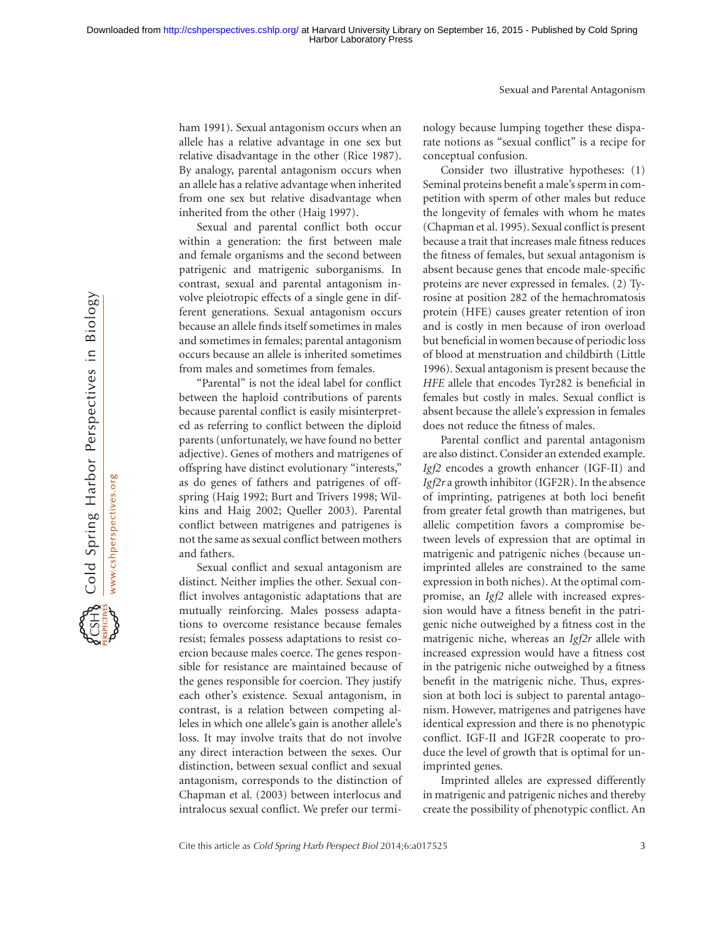ham 1991). Sexual antagonism occurs when an allele has a relative advantage in one sex but relative disadvantage in the other (Rice 1987). By analogy, parental antagonism occurs when an allele has a relative advantage when inherited from one sex but relative disadvantage when inherited from the other (Haig 1997).

Sexual and parental conflict both occur within a generation: the first between male and female organisms and the second between patrigenic and matrigenic suborganisms. In contrast, sexual and parental antagonism involve pleiotropic effects of a single gene in different generations. Sexual antagonism occurs because an allele finds itself sometimes in males and sometimes in females; parental antagonism occurs because an allele is inherited sometimes from males and sometimes from females.

"Parental" is not the ideal label for conflict between the haploid contributions of parents because parental conflict is easily misinterpreted as referring to conflict between the diploid parents (unfortunately, we have found no better adjective). Genes of mothers and matrigenes of offspring have distinct evolutionary "interests," as do genes of fathers and patrigenes of offspring (Haig 1992; Burt and Trivers 1998; Wilkins and Haig 2002; Queller 2003). Parental conflict between matrigenes and patrigenes is not the same as sexual conflict between mothers and fathers.

Sexual conflict and sexual antagonism are distinct. Neither implies the other. Sexual conflict involves antagonistic adaptations that are mutually reinforcing. Males possess adaptations to overcome resistance because females resist; females possess adaptations to resist coercion because males coerce. The genes responsible for resistance are maintained because of the genes responsible for coercion. They justify each other's existence. Sexual antagonism, in contrast, is a relation between competing alleles in which one allele's gain is another allele's loss. It may involve traits that do not involve any direct interaction between the sexes. Our distinction, between sexual conflict and sexual antagonism, corresponds to the distinction of Chapman et al. (2003) between interlocus and intralocus sexual conflict. We prefer our terminology because lumping together these disparate notions as "sexual conflict" is a recipe for conceptual confusion.

Consider two illustrative hypotheses: (1) Seminal proteins benefit a male's sperm in competition with sperm of other males but reduce the longevity of females with whom he mates (Chapman et al. 1995). Sexual conflict is present because a trait that increases male fitness reduces the fitness of females, but sexual antagonism is absent because genes that encode male-specific proteins are never expressed in females. (2) Tyrosine at position 282 of the hemachromatosis protein (HFE) causes greater retention of iron and is costly in men because of iron overload but beneficial in women because of periodic loss of blood at menstruation and childbirth (Little 1996). Sexual antagonism is present because the HFE allele that encodes Tyr282 is beneficial in females but costly in males. Sexual conflict is absent because the allele's expression in females does not reduce the fitness of males.

Parental conflict and parental antagonism are also distinct. Consider an extended example. Igf2 encodes a growth enhancer (IGF-II) and Igf2r a growth inhibitor (IGF2R). In the absence of imprinting, patrigenes at both loci benefit from greater fetal growth than matrigenes, but allelic competition favors a compromise between levels of expression that are optimal in matrigenic and patrigenic niches (because unimprinted alleles are constrained to the same expression in both niches). At the optimal compromise, an Igf2 allele with increased expression would have a fitness benefit in the patrigenic niche outweighed by a fitness cost in the matrigenic niche, whereas an Igf2r allele with increased expression would have a fitness cost in the patrigenic niche outweighed by a fitness benefit in the matrigenic niche. Thus, expression at both loci is subject to parental antagonism. However, matrigenes and patrigenes have identical expression and there is no phenotypic conflict. IGF-II and IGF2R cooperate to produce the level of growth that is optimal for unimprinted genes.

Imprinted alleles are expressed differently in matrigenic and patrigenic niches and thereby create the possibility of phenotypic conflict. An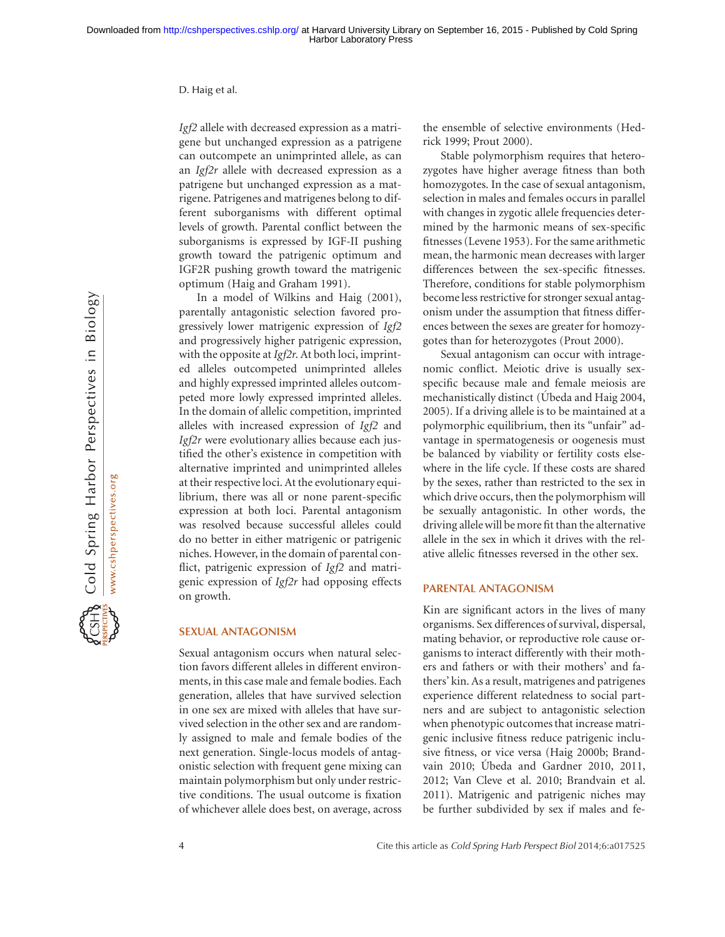Igf2 allele with decreased expression as a matrigene but unchanged expression as a patrigene can outcompete an unimprinted allele, as can an Igf2r allele with decreased expression as a patrigene but unchanged expression as a matrigene. Patrigenes and matrigenes belong to different suborganisms with different optimal levels of growth. Parental conflict between the suborganisms is expressed by IGF-II pushing growth toward the patrigenic optimum and IGF2R pushing growth toward the matrigenic optimum (Haig and Graham 1991).

In a model of Wilkins and Haig (2001), parentally antagonistic selection favored progressively lower matrigenic expression of Igf2 and progressively higher patrigenic expression, with the opposite at *Igf2r*. At both loci, imprinted alleles outcompeted unimprinted alleles and highly expressed imprinted alleles outcompeted more lowly expressed imprinted alleles. In the domain of allelic competition, imprinted alleles with increased expression of Igf2 and Igf2r were evolutionary allies because each justified the other's existence in competition with alternative imprinted and unimprinted alleles at their respective loci. At the evolutionary equilibrium, there was all or none parent-specific expression at both loci. Parental antagonism was resolved because successful alleles could do no better in either matrigenic or patrigenic niches. However, in the domain of parental conflict, patrigenic expression of *Igf2* and matrigenic expression of Igf2r had opposing effects on growth.

#### SEXUAL ANTAGONISM

Sexual antagonism occurs when natural selection favors different alleles in different environments, in this case male and female bodies. Each generation, alleles that have survived selection in one sex are mixed with alleles that have survived selection in the other sex and are randomly assigned to male and female bodies of the next generation. Single-locus models of antagonistic selection with frequent gene mixing can maintain polymorphism but only under restrictive conditions. The usual outcome is fixation of whichever allele does best, on average, across

the ensemble of selective environments (Hedrick 1999; Prout 2000).

Stable polymorphism requires that heterozygotes have higher average fitness than both homozygotes. In the case of sexual antagonism, selection in males and females occurs in parallel with changes in zygotic allele frequencies determined by the harmonic means of sex-specific fitnesses (Levene 1953). For the same arithmetic mean, the harmonic mean decreases with larger differences between the sex-specific fitnesses. Therefore, conditions for stable polymorphism become less restrictive for stronger sexual antagonism under the assumption that fitness differences between the sexes are greater for homozygotes than for heterozygotes (Prout 2000).

Sexual antagonism can occur with intragenomic conflict. Meiotic drive is usually sexspecific because male and female meiosis are mechanistically distinct (Ubeda and Haig 2004, 2005). If a driving allele is to be maintained at a polymorphic equilibrium, then its "unfair" advantage in spermatogenesis or oogenesis must be balanced by viability or fertility costs elsewhere in the life cycle. If these costs are shared by the sexes, rather than restricted to the sex in which drive occurs, then the polymorphism will be sexually antagonistic. In other words, the driving allele will be more fit than the alternative allele in the sex in which it drives with the relative allelic fitnesses reversed in the other sex.

#### PARENTAL ANTAGONISM

Kin are significant actors in the lives of many organisms. Sex differences of survival, dispersal, mating behavior, or reproductive role cause organisms to interact differently with their mothers and fathers or with their mothers' and fathers' kin. As a result, matrigenes and patrigenes experience different relatedness to social partners and are subject to antagonistic selection when phenotypic outcomes that increase matrigenic inclusive fitness reduce patrigenic inclusive fitness, or vice versa (Haig 2000b; Brandvain 2010; Ubeda and Gardner 2010, 2011, 2012; Van Cleve et al. 2010; Brandvain et al. 2011). Matrigenic and patrigenic niches may be further subdivided by sex if males and fe-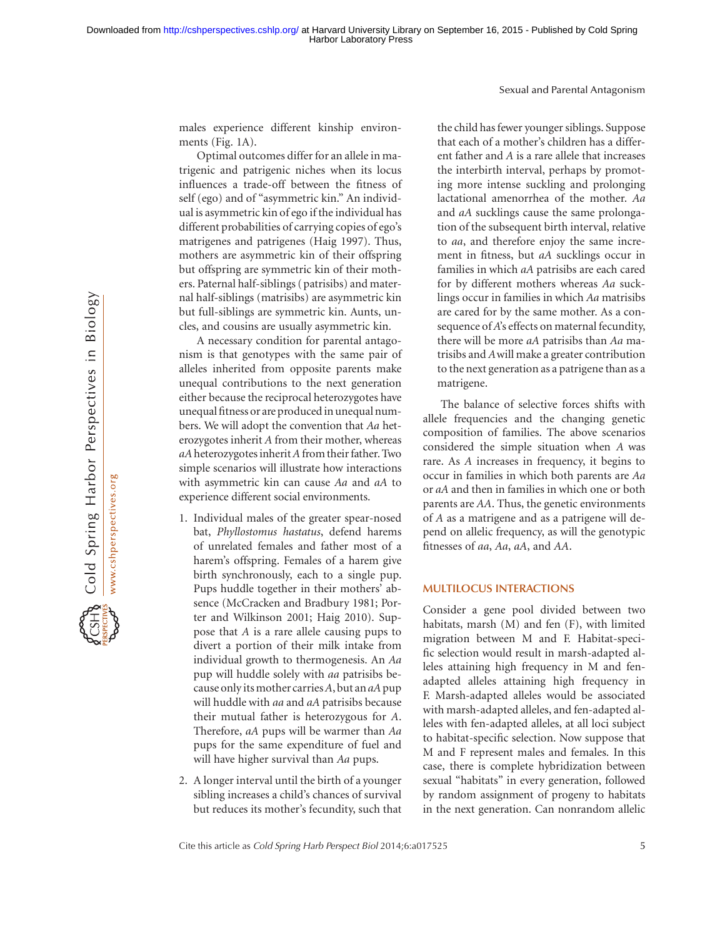males experience different kinship environments (Fig. 1A).

Optimal outcomes differ for an allele in matrigenic and patrigenic niches when its locus influences a trade-off between the fitness of self (ego) and of "asymmetric kin." An individual is asymmetric kin of ego if the individual has different probabilities of carrying copies of ego's matrigenes and patrigenes (Haig 1997). Thus, mothers are asymmetric kin of their offspring but offspring are symmetric kin of their mothers. Paternal half-siblings (patrisibs) and maternal half-siblings (matrisibs) are asymmetric kin but full-siblings are symmetric kin. Aunts, uncles, and cousins are usually asymmetric kin.

A necessary condition for parental antagonism is that genotypes with the same pair of alleles inherited from opposite parents make unequal contributions to the next generation either because the reciprocal heterozygotes have unequal fitness or are produced in unequal numbers. We will adopt the convention that Aa heterozygotes inherit A from their mother, whereas aA heterozygotes inherit A from their father. Two simple scenarios will illustrate how interactions with asymmetric kin can cause Aa and aA to experience different social environments.

- 1. Individual males of the greater spear-nosed bat, Phyllostomus hastatus, defend harems of unrelated females and father most of a harem's offspring. Females of a harem give birth synchronously, each to a single pup. Pups huddle together in their mothers' absence (McCracken and Bradbury 1981; Porter and Wilkinson 2001; Haig 2010). Suppose that A is a rare allele causing pups to divert a portion of their milk intake from individual growth to thermogenesis. An Aa pup will huddle solely with aa patrisibs because only its mother carries  $A$ , but an  $aA$  pup will huddle with aa and aA patrisibs because their mutual father is heterozygous for A. Therefore, aA pups will be warmer than Aa pups for the same expenditure of fuel and will have higher survival than Aa pups.
- 2. A longer interval until the birth of a younger sibling increases a child's chances of survival but reduces its mother's fecundity, such that

the child has fewer younger siblings. Suppose that each of a mother's children has a different father and A is a rare allele that increases the interbirth interval, perhaps by promoting more intense suckling and prolonging lactational amenorrhea of the mother. Aa and aA sucklings cause the same prolongation of the subsequent birth interval, relative to aa, and therefore enjoy the same increment in fitness, but aA sucklings occur in families in which aA patrisibs are each cared for by different mothers whereas Aa sucklings occur in families in which Aa matrisibs are cared for by the same mother. As a consequence of A's effects on maternal fecundity, there will be more aA patrisibs than Aa matrisibs and Awill make a greater contribution to the next generation as a patrigene than as a matrigene.

The balance of selective forces shifts with allele frequencies and the changing genetic composition of families. The above scenarios considered the simple situation when A was rare. As A increases in frequency, it begins to occur in families in which both parents are Aa or aA and then in families in which one or both parents are AA. Thus, the genetic environments of A as a matrigene and as a patrigene will depend on allelic frequency, as will the genotypic fitnesses of aa, Aa, aA, and AA.

#### MULTILOCUS INTERACTIONS

Consider a gene pool divided between two habitats, marsh (M) and fen (F), with limited migration between M and F. Habitat-specific selection would result in marsh-adapted alleles attaining high frequency in M and fenadapted alleles attaining high frequency in F. Marsh-adapted alleles would be associated with marsh-adapted alleles, and fen-adapted alleles with fen-adapted alleles, at all loci subject to habitat-specific selection. Now suppose that M and F represent males and females. In this case, there is complete hybridization between sexual "habitats" in every generation, followed by random assignment of progeny to habitats in the next generation. Can nonrandom allelic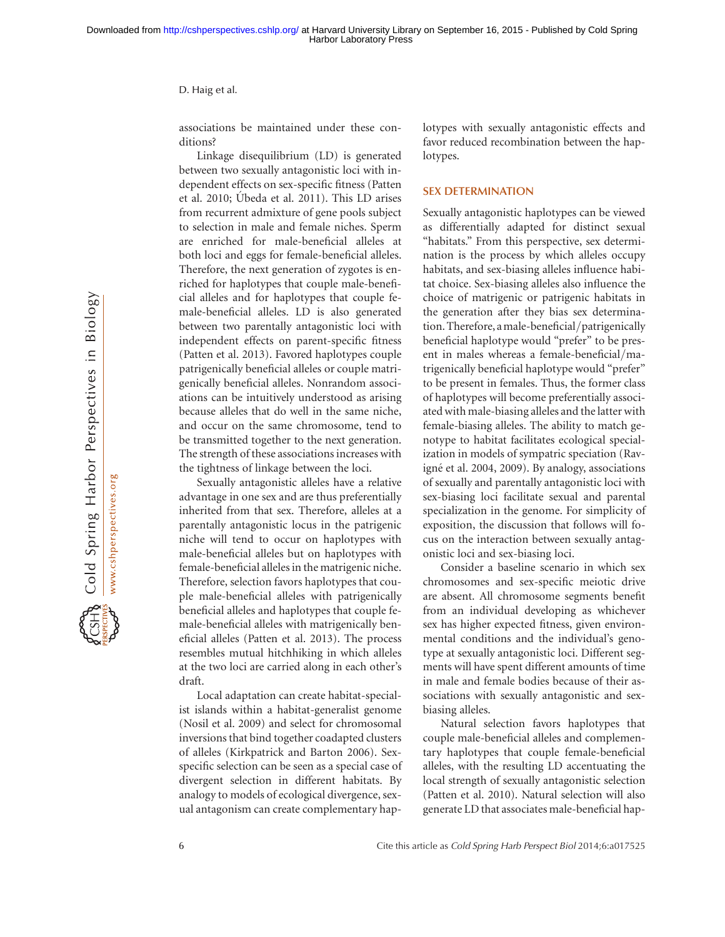associations be maintained under these conditions?

Linkage disequilibrium (LD) is generated between two sexually antagonistic loci with independent effects on sex-specific fitness (Patten et al. 2010; Ubeda et al. 2011). This LD arises from recurrent admixture of gene pools subject to selection in male and female niches. Sperm are enriched for male-beneficial alleles at both loci and eggs for female-beneficial alleles. Therefore, the next generation of zygotes is enriched for haplotypes that couple male-beneficial alleles and for haplotypes that couple female-beneficial alleles. LD is also generated between two parentally antagonistic loci with independent effects on parent-specific fitness (Patten et al. 2013). Favored haplotypes couple patrigenically beneficial alleles or couple matrigenically beneficial alleles. Nonrandom associations can be intuitively understood as arising because alleles that do well in the same niche, and occur on the same chromosome, tend to be transmitted together to the next generation. The strength of these associations increases with the tightness of linkage between the loci.

Sexually antagonistic alleles have a relative advantage in one sex and are thus preferentially inherited from that sex. Therefore, alleles at a parentally antagonistic locus in the patrigenic niche will tend to occur on haplotypes with male-beneficial alleles but on haplotypes with female-beneficial alleles in the matrigenic niche. Therefore, selection favors haplotypes that couple male-beneficial alleles with patrigenically beneficial alleles and haplotypes that couple female-beneficial alleles with matrigenically beneficial alleles (Patten et al. 2013). The process resembles mutual hitchhiking in which alleles at the two loci are carried along in each other's draft.

Local adaptation can create habitat-specialist islands within a habitat-generalist genome (Nosil et al. 2009) and select for chromosomal inversions that bind together coadapted clusters of alleles (Kirkpatrick and Barton 2006). Sexspecific selection can be seen as a special case of divergent selection in different habitats. By analogy to models of ecological divergence, sexual antagonism can create complementary haplotypes with sexually antagonistic effects and favor reduced recombination between the haplotypes.

#### SEX DETERMINATION

Sexually antagonistic haplotypes can be viewed as differentially adapted for distinct sexual "habitats." From this perspective, sex determination is the process by which alleles occupy habitats, and sex-biasing alleles influence habitat choice. Sex-biasing alleles also influence the choice of matrigenic or patrigenic habitats in the generation after they bias sex determination. Therefore, a male-beneficial/patrigenically beneficial haplotype would "prefer" to be present in males whereas a female-beneficial/matrigenically beneficial haplotype would "prefer" to be present in females. Thus, the former class of haplotypes will become preferentially associated with male-biasing alleles and the latter with female-biasing alleles. The ability to match genotype to habitat facilitates ecological specialization in models of sympatric speciation (Ravigné et al. 2004, 2009). By analogy, associations of sexually and parentally antagonistic loci with sex-biasing loci facilitate sexual and parental specialization in the genome. For simplicity of exposition, the discussion that follows will focus on the interaction between sexually antagonistic loci and sex-biasing loci.

Consider a baseline scenario in which sex chromosomes and sex-specific meiotic drive are absent. All chromosome segments benefit from an individual developing as whichever sex has higher expected fitness, given environmental conditions and the individual's genotype at sexually antagonistic loci. Different segments will have spent different amounts of time in male and female bodies because of their associations with sexually antagonistic and sexbiasing alleles.

Natural selection favors haplotypes that couple male-beneficial alleles and complementary haplotypes that couple female-beneficial alleles, with the resulting LD accentuating the local strength of sexually antagonistic selection (Patten et al. 2010). Natural selection will also generate LD that associates male-beneficial hap-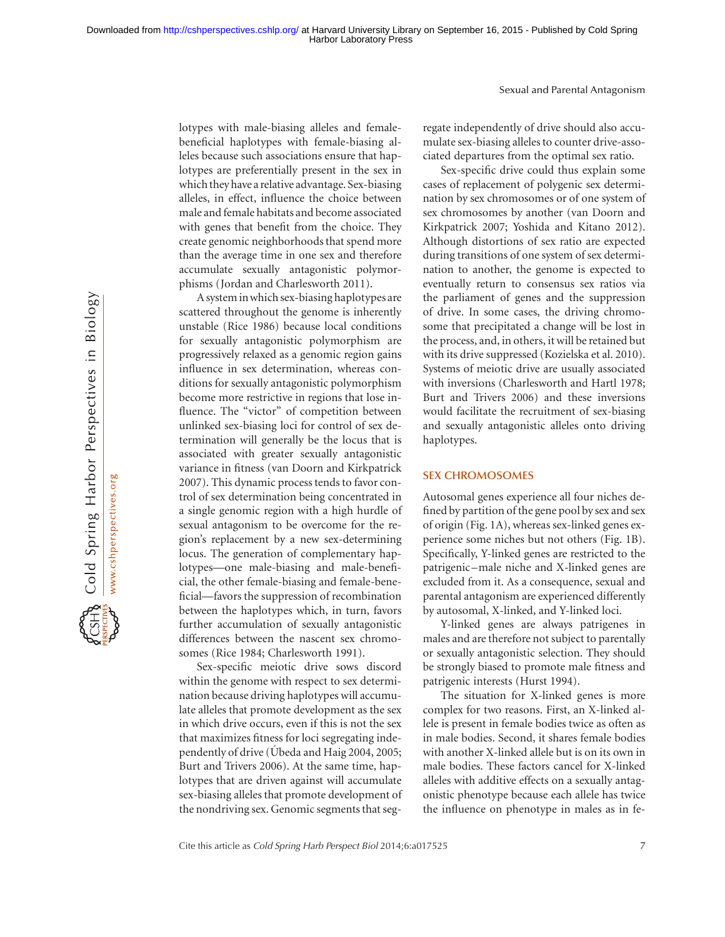lotypes with male-biasing alleles and femalebeneficial haplotypes with female-biasing alleles because such associations ensure that haplotypes are preferentially present in the sex in which they have a relative advantage. Sex-biasing alleles, in effect, influence the choice between male and female habitats and become associated with genes that benefit from the choice. They create genomic neighborhoods that spend more than the average time in one sex and therefore accumulate sexually antagonistic polymorphisms (Jordan and Charlesworth 2011).

A system in which sex-biasing haplotypes are scattered throughout the genome is inherently unstable (Rice 1986) because local conditions for sexually antagonistic polymorphism are progressively relaxed as a genomic region gains influence in sex determination, whereas conditions for sexually antagonistic polymorphism become more restrictive in regions that lose influence. The "victor" of competition between unlinked sex-biasing loci for control of sex determination will generally be the locus that is associated with greater sexually antagonistic variance in fitness (van Doorn and Kirkpatrick 2007). This dynamic process tends to favor control of sex determination being concentrated in a single genomic region with a high hurdle of sexual antagonism to be overcome for the region's replacement by a new sex-determining locus. The generation of complementary haplotypes—one male-biasing and male-beneficial, the other female-biasing and female-beneficial—favors the suppression of recombination between the haplotypes which, in turn, favors further accumulation of sexually antagonistic differences between the nascent sex chromosomes (Rice 1984; Charlesworth 1991).

Sex-specific meiotic drive sows discord within the genome with respect to sex determination because driving haplotypes will accumulate alleles that promote development as the sex in which drive occurs, even if this is not the sex that maximizes fitness for loci segregating independently of drive (Ubeda and Haig 2004, 2005; Burt and Trivers 2006). At the same time, haplotypes that are driven against will accumulate sex-biasing alleles that promote development of the nondriving sex. Genomic segments that segregate independently of drive should also accumulate sex-biasing alleles to counter drive-associated departures from the optimal sex ratio.

Sex-specific drive could thus explain some cases of replacement of polygenic sex determination by sex chromosomes or of one system of sex chromosomes by another (van Doorn and Kirkpatrick 2007; Yoshida and Kitano 2012). Although distortions of sex ratio are expected during transitions of one system of sex determination to another, the genome is expected to eventually return to consensus sex ratios via the parliament of genes and the suppression of drive. In some cases, the driving chromosome that precipitated a change will be lost in the process, and, in others, it will be retained but with its drive suppressed (Kozielska et al. 2010). Systems of meiotic drive are usually associated with inversions (Charlesworth and Hartl 1978; Burt and Trivers 2006) and these inversions would facilitate the recruitment of sex-biasing and sexually antagonistic alleles onto driving haplotypes.

#### SEX CHROMOSOMES

Autosomal genes experience all four niches defined by partition of the gene pool by sex and sex of origin (Fig. 1A), whereas sex-linked genes experience some niches but not others (Fig. 1B). Specifically, Y-linked genes are restricted to the patrigenic–male niche and X-linked genes are excluded from it. As a consequence, sexual and parental antagonism are experienced differently by autosomal, X-linked, and Y-linked loci.

Y-linked genes are always patrigenes in males and are therefore not subject to parentally or sexually antagonistic selection. They should be strongly biased to promote male fitness and patrigenic interests (Hurst 1994).

The situation for X-linked genes is more complex for two reasons. First, an X-linked allele is present in female bodies twice as often as in male bodies. Second, it shares female bodies with another X-linked allele but is on its own in male bodies. These factors cancel for X-linked alleles with additive effects on a sexually antagonistic phenotype because each allele has twice the influence on phenotype in males as in fe-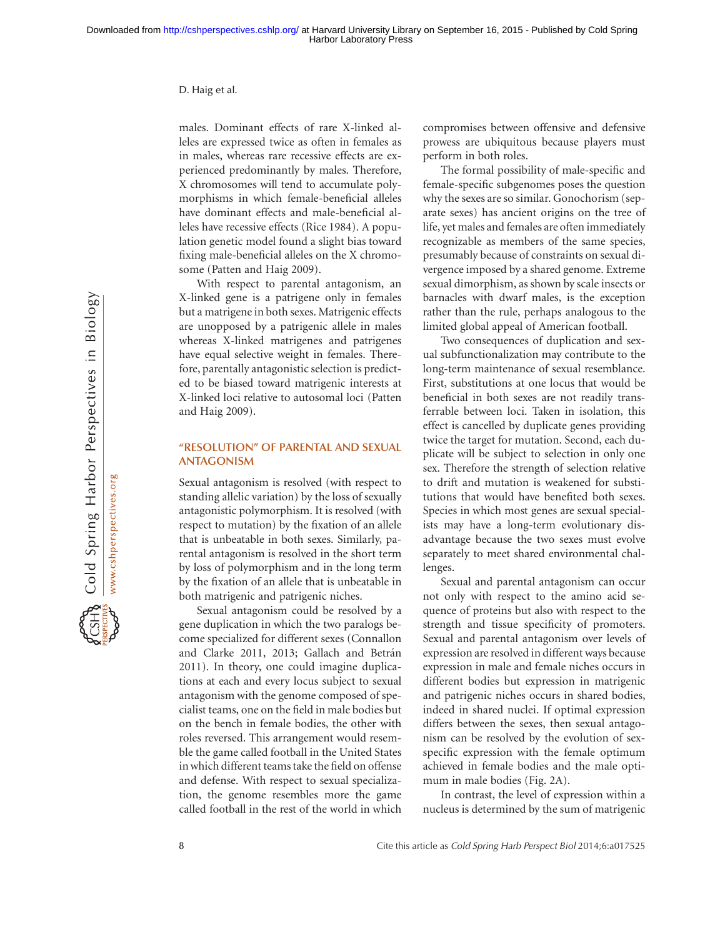males. Dominant effects of rare X-linked alleles are expressed twice as often in females as in males, whereas rare recessive effects are experienced predominantly by males. Therefore, X chromosomes will tend to accumulate polymorphisms in which female-beneficial alleles have dominant effects and male-beneficial alleles have recessive effects (Rice 1984). A population genetic model found a slight bias toward fixing male-beneficial alleles on the X chromosome (Patten and Haig 2009).

With respect to parental antagonism, an X-linked gene is a patrigene only in females but a matrigene in both sexes. Matrigenic effects are unopposed by a patrigenic allele in males whereas X-linked matrigenes and patrigenes have equal selective weight in females. Therefore, parentally antagonistic selection is predicted to be biased toward matrigenic interests at X-linked loci relative to autosomal loci (Patten and Haig 2009).

#### "RESOLUTION" OF PARENTAL AND SEXUAL ANTAGONISM

Sexual antagonism is resolved (with respect to standing allelic variation) by the loss of sexually antagonistic polymorphism. It is resolved (with respect to mutation) by the fixation of an allele that is unbeatable in both sexes. Similarly, parental antagonism is resolved in the short term by loss of polymorphism and in the long term by the fixation of an allele that is unbeatable in both matrigenic and patrigenic niches.

Sexual antagonism could be resolved by a gene duplication in which the two paralogs become specialized for different sexes (Connallon and Clarke 2011, 2013; Gallach and Betrán 2011). In theory, one could imagine duplications at each and every locus subject to sexual antagonism with the genome composed of specialist teams, one on the field in male bodies but on the bench in female bodies, the other with roles reversed. This arrangement would resemble the game called football in the United States in which different teams take the field on offense and defense. With respect to sexual specialization, the genome resembles more the game called football in the rest of the world in which

compromises between offensive and defensive prowess are ubiquitous because players must perform in both roles.

The formal possibility of male-specific and female-specific subgenomes poses the question why the sexes are so similar. Gonochorism (separate sexes) has ancient origins on the tree of life, yet males and females are often immediately recognizable as members of the same species, presumably because of constraints on sexual divergence imposed by a shared genome. Extreme sexual dimorphism, as shown by scale insects or barnacles with dwarf males, is the exception rather than the rule, perhaps analogous to the limited global appeal of American football.

Two consequences of duplication and sexual subfunctionalization may contribute to the long-term maintenance of sexual resemblance. First, substitutions at one locus that would be beneficial in both sexes are not readily transferrable between loci. Taken in isolation, this effect is cancelled by duplicate genes providing twice the target for mutation. Second, each duplicate will be subject to selection in only one sex. Therefore the strength of selection relative to drift and mutation is weakened for substitutions that would have benefited both sexes. Species in which most genes are sexual specialists may have a long-term evolutionary disadvantage because the two sexes must evolve separately to meet shared environmental challenges.

Sexual and parental antagonism can occur not only with respect to the amino acid sequence of proteins but also with respect to the strength and tissue specificity of promoters. Sexual and parental antagonism over levels of expression are resolved in different ways because expression in male and female niches occurs in different bodies but expression in matrigenic and patrigenic niches occurs in shared bodies, indeed in shared nuclei. If optimal expression differs between the sexes, then sexual antagonism can be resolved by the evolution of sexspecific expression with the female optimum achieved in female bodies and the male optimum in male bodies (Fig. 2A).

In contrast, the level of expression within a nucleus is determined by the sum of matrigenic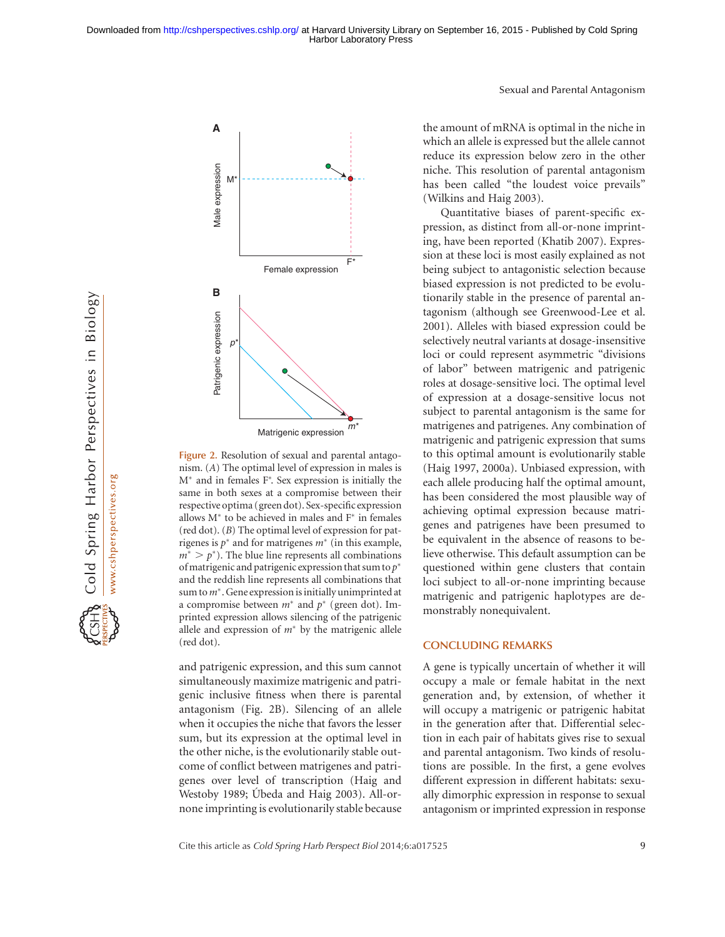the amount of mRNA is optimal in the niche in which an allele is expressed but the allele cannot reduce its expression below zero in the other niche. This resolution of parental antagonism has been called "the loudest voice prevails" (Wilkins and Haig 2003).

Quantitative biases of parent-specific expression, as distinct from all-or-none imprinting, have been reported (Khatib 2007). Expression at these loci is most easily explained as not being subject to antagonistic selection because biased expression is not predicted to be evolutionarily stable in the presence of parental antagonism (although see Greenwood-Lee et al. 2001). Alleles with biased expression could be selectively neutral variants at dosage-insensitive loci or could represent asymmetric "divisions of labor" between matrigenic and patrigenic roles at dosage-sensitive loci. The optimal level of expression at a dosage-sensitive locus not subject to parental antagonism is the same for matrigenes and patrigenes. Any combination of matrigenic and patrigenic expression that sums to this optimal amount is evolutionarily stable (Haig 1997, 2000a). Unbiased expression, with each allele producing half the optimal amount, has been considered the most plausible way of achieving optimal expression because matrigenes and patrigenes have been presumed to be equivalent in the absence of reasons to believe otherwise. This default assumption can be questioned within gene clusters that contain loci subject to all-or-none imprinting because matrigenic and patrigenic haplotypes are demonstrably nonequivalent.

#### CONCLUDING REMARKS

A gene is typically uncertain of whether it will occupy a male or female habitat in the next generation and, by extension, of whether it will occupy a matrigenic or patrigenic habitat in the generation after that. Differential selection in each pair of habitats gives rise to sexual and parental antagonism. Two kinds of resolutions are possible. In the first, a gene evolves different expression in different habitats: sexually dimorphic expression in response to sexual antagonism or imprinted expression in response



Cold Spring Harbor Perspectives in Biology www.cshperspectives.org



Figure 2. Resolution of sexual and parental antagonism. (A) The optimal level of expression in males is M<sup>\*</sup> and in females F<sup>\*</sup>. Sex expression is initially the same in both sexes at a compromise between their respective optima (green dot). Sex-specific expression allows  $M^*$  to be achieved in males and  $F^*$  in females (red dot). (B) The optimal level of expression for patrigenes is  $p^*$  and for matrigenes  $m^*$  (in this example,  $m^* > p^*$ ). The blue line represents all combinations of matrigenic and patrigenic expression that sum to  $p^*$ and the reddish line represents all combinations that sum to  $m^*$ . Gene expression is initially unimprinted at a compromise between  $m^*$  and  $p^*$  (green dot). Imprinted expression allows silencing of the patrigenic allele and expression of  $m^*$  by the matrigenic allele (red dot).

and patrigenic expression, and this sum cannot simultaneously maximize matrigenic and patrigenic inclusive fitness when there is parental antagonism (Fig. 2B). Silencing of an allele when it occupies the niche that favors the lesser sum, but its expression at the optimal level in the other niche, is the evolutionarily stable outcome of conflict between matrigenes and patrigenes over level of transcription (Haig and Westoby 1989; Ubeda and Haig 2003). All-ornone imprinting is evolutionarily stable because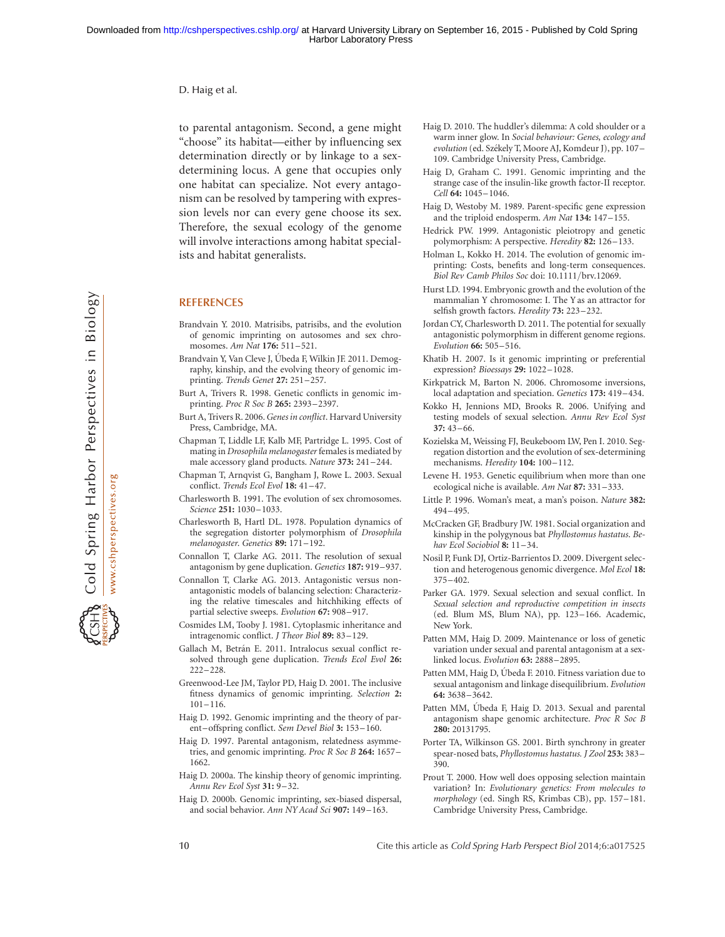to parental antagonism. Second, a gene might "choose" its habitat—either by influencing sex determination directly or by linkage to a sexdetermining locus. A gene that occupies only one habitat can specialize. Not every antagonism can be resolved by tampering with expression levels nor can every gene choose its sex. Therefore, the sexual ecology of the genome will involve interactions among habitat specialists and habitat generalists.

#### **REFERENCES**

- Brandvain Y. 2010. Matrisibs, patrisibs, and the evolution of genomic imprinting on autosomes and sex chromosomes. Am Nat 176: 511–521.
- Brandvain Y, Van Cleve J, Úbeda F, Wilkin JF. 2011. Demography, kinship, and the evolving theory of genomic imprinting. Trends Genet 27: 251-257.
- Burt A, Trivers R. 1998. Genetic conflicts in genomic imprinting. Proc R Soc B 265: 2393–2397.
- Burt A, Trivers R. 2006. Genes in conflict. Harvard University Press, Cambridge, MA.
- Chapman T, Liddle LF, Kalb MF, Partridge L. 1995. Cost of mating in Drosophila melanogaster females is mediated by male accessory gland products. Nature 373: 241–244.
- Chapman T, Arnqvist G, Bangham J, Rowe L. 2003. Sexual conflict. Trends Ecol Evol 18: 41–47.
- Charlesworth B. 1991. The evolution of sex chromosomes. Science 251: 1030–1033.
- Charlesworth B, Hartl DL. 1978. Population dynamics of the segregation distorter polymorphism of Drosophila melanogaster. Genetics 89: 171–192.
- Connallon T, Clarke AG. 2011. The resolution of sexual antagonism by gene duplication. Genetics 187: 919–937.
- Connallon T, Clarke AG. 2013. Antagonistic versus nonantagonistic models of balancing selection: Characterizing the relative timescales and hitchhiking effects of partial selective sweeps. Evolution 67: 908–917.
- Cosmides LM, Tooby J. 1981. Cytoplasmic inheritance and intragenomic conflict. J Theor Biol 89: 83–129.
- Gallach M, Betrán E. 2011. Intralocus sexual conflict resolved through gene duplication. Trends Ecol Evol 26: 222–228.
- Greenwood-Lee JM, Taylor PD, Haig D. 2001. The inclusive fitness dynamics of genomic imprinting. Selection 2: 101–116.
- Haig D. 1992. Genomic imprinting and the theory of parent–offspring conflict. Sem Devel Biol 3: 153–160.
- Haig D. 1997. Parental antagonism, relatedness asymmetries, and genomic imprinting. Proc R Soc B 264: 1657-1662.
- Haig D. 2000a. The kinship theory of genomic imprinting. Annu Rev Ecol Syst 31: 9–32.
- Haig D. 2000b. Genomic imprinting, sex-biased dispersal, and social behavior. Ann NY Acad Sci 907: 149–163.
- Haig D. 2010. The huddler's dilemma: A cold shoulder or a warm inner glow. In Social behaviour: Genes, ecology and evolution (ed. Székely T, Moore AJ, Komdeur J), pp. 107– 109. Cambridge University Press, Cambridge.
- Haig D, Graham C. 1991. Genomic imprinting and the strange case of the insulin-like growth factor-II receptor. Cell 64: 1045–1046.
- Haig D, Westoby M. 1989. Parent-specific gene expression and the triploid endosperm. Am Nat 134: 147–155.
- Hedrick PW. 1999. Antagonistic pleiotropy and genetic polymorphism: A perspective. Heredity 82: 126–133.
- Holman L, Kokko H. 2014. The evolution of genomic imprinting: Costs, benefits and long-term consequences. Biol Rev Camb Philos Soc doi: 10.1111/brv.12069.
- Hurst LD. 1994. Embryonic growth and the evolution of the mammalian Y chromosome: I. The Y as an attractor for selfish growth factors. Heredity 73: 223-232.
- Jordan CY, Charlesworth D. 2011. The potential for sexually antagonistic polymorphism in different genome regions. Evolution 66: 505–516.
- Khatib H. 2007. Is it genomic imprinting or preferential expression? Bioessays 29: 1022–1028.
- Kirkpatrick M, Barton N. 2006. Chromosome inversions, local adaptation and speciation. Genetics 173: 419–434.
- Kokko H, Jennions MD, Brooks R. 2006. Unifying and testing models of sexual selection. Annu Rev Ecol Syst 37: 43–66.
- Kozielska M, Weissing FJ, Beukeboom LW, Pen I. 2010. Segregation distortion and the evolution of sex-determining mechanisms. Heredity 104: 100-112.
- Levene H. 1953. Genetic equilibrium when more than one ecological niche is available. Am Nat 87: 331–333.
- Little P. 1996. Woman's meat, a man's poison. Nature 382: 494–495.
- McCracken GF, Bradbury JW. 1981. Social organization and kinship in the polygynous bat Phyllostomus hastatus. Behav Ecol Sociobiol 8: 11–34.
- Nosil P, Funk DJ, Ortiz-Barrientos D. 2009. Divergent selection and heterogenous genomic divergence. Mol Ecol 18: 375–402.
- Parker GA. 1979. Sexual selection and sexual conflict. In Sexual selection and reproductive competition in insects (ed. Blum MS, Blum NA), pp. 123–166. Academic, New York.
- Patten MM, Haig D. 2009. Maintenance or loss of genetic variation under sexual and parental antagonism at a sexlinked locus. Evolution 63: 2888–2895.
- Patten MM, Haig D, Úbeda F. 2010. Fitness variation due to sexual antagonism and linkage disequilibrium. Evolution 64: 3638–3642.
- Patten MM, Úbeda F, Haig D. 2013. Sexual and parental antagonism shape genomic architecture. Proc R Soc B 280: 20131795.
- Porter TA, Wilkinson GS. 2001. Birth synchrony in greater spear-nosed bats, Phyllostomus hastatus. J Zool 253: 383– 390.
- Prout T. 2000. How well does opposing selection maintain variation? In: Evolutionary genetics: From molecules to morphology (ed. Singh RS, Krimbas CB), pp. 157–181. Cambridge University Press, Cambridge.

10 Cite this article as Cold Spring Harb Perspect Biol 2014;6:a017525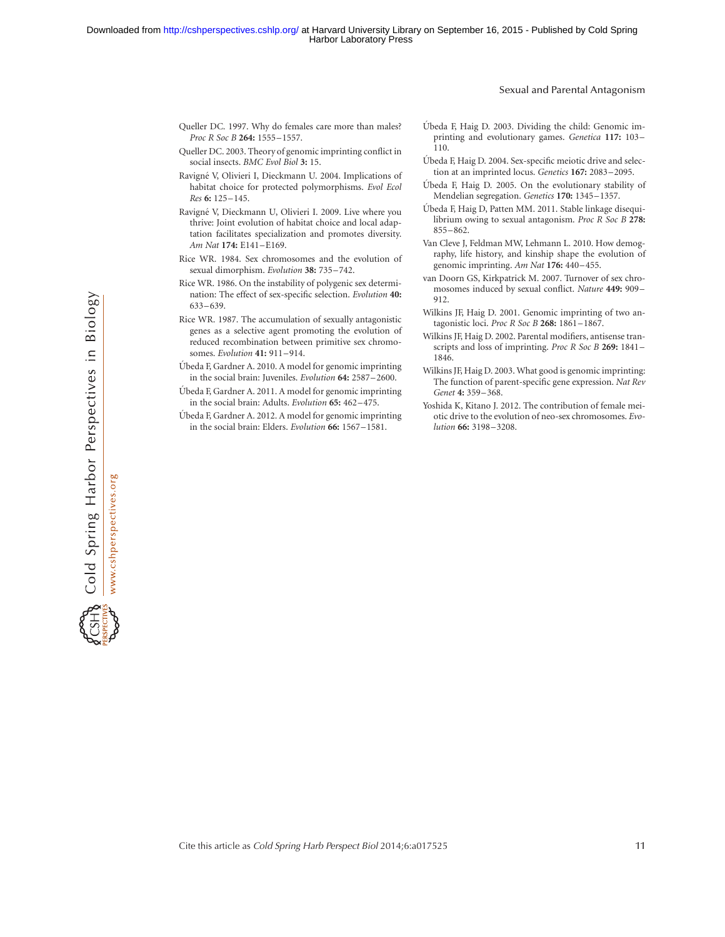- Queller DC. 1997. Why do females care more than males? Proc R Soc B 264: 1555–1557.
- Queller DC. 2003. Theory of genomic imprinting conflict in social insects. BMC Evol Biol 3: 15.
- Ravigné V, Olivieri I, Dieckmann U. 2004. Implications of habitat choice for protected polymorphisms. Evol Ecol Res 6: 125–145.
- Ravigné V, Dieckmann U, Olivieri I. 2009. Live where you thrive: Joint evolution of habitat choice and local adaptation facilitates specialization and promotes diversity. Am Nat 174: E141–E169.
- Rice WR. 1984. Sex chromosomes and the evolution of sexual dimorphism. Evolution 38: 735–742.
- Rice WR. 1986. On the instability of polygenic sex determination: The effect of sex-specific selection. Evolution 40: 633–639.
- Rice WR. 1987. The accumulation of sexually antagonistic genes as a selective agent promoting the evolution of reduced recombination between primitive sex chromosomes. Evolution 41: 911–914.
- Úbeda F, Gardner A. 2010. A model for genomic imprinting in the social brain: Juveniles. Evolution 64: 2587–2600.
- Úbeda F, Gardner A. 2011. A model for genomic imprinting in the social brain: Adults. Evolution 65: 462–475.
- Úbeda F, Gardner A. 2012. A model for genomic imprinting in the social brain: Elders. Evolution 66: 1567–1581.
- Úbeda F, Haig D. 2003. Dividing the child: Genomic imprinting and evolutionary games. Genetica 117: 103– 110.
- Úbeda F, Haig D. 2004. Sex-specific meiotic drive and selection at an imprinted locus. Genetics 167: 2083–2095.
- Úbeda F, Haig D. 2005. On the evolutionary stability of Mendelian segregation. Genetics 170: 1345–1357.
- Úbeda F, Haig D, Patten MM. 2011. Stable linkage disequilibrium owing to sexual antagonism. Proc R Soc B 278: 855–862.
- Van Cleve J, Feldman MW, Lehmann L. 2010. How demography, life history, and kinship shape the evolution of genomic imprinting. Am Nat 176: 440–455.
- van Doorn GS, Kirkpatrick M. 2007. Turnover of sex chromosomes induced by sexual conflict. Nature 449: 909-912.
- Wilkins JF, Haig D. 2001. Genomic imprinting of two antagonistic loci. Proc R Soc B 268: 1861–1867.
- Wilkins JF, Haig D. 2002. Parental modifiers, antisense transcripts and loss of imprinting. Proc R Soc B 269: 1841-1846.
- Wilkins JF, Haig D. 2003. What good is genomic imprinting: The function of parent-specific gene expression. Nat Rev Genet 4: 359–368.
- Yoshida K, Kitano J. 2012. The contribution of female meiotic drive to the evolution of neo-sex chromosomes. Evolution 66: 3198–3208.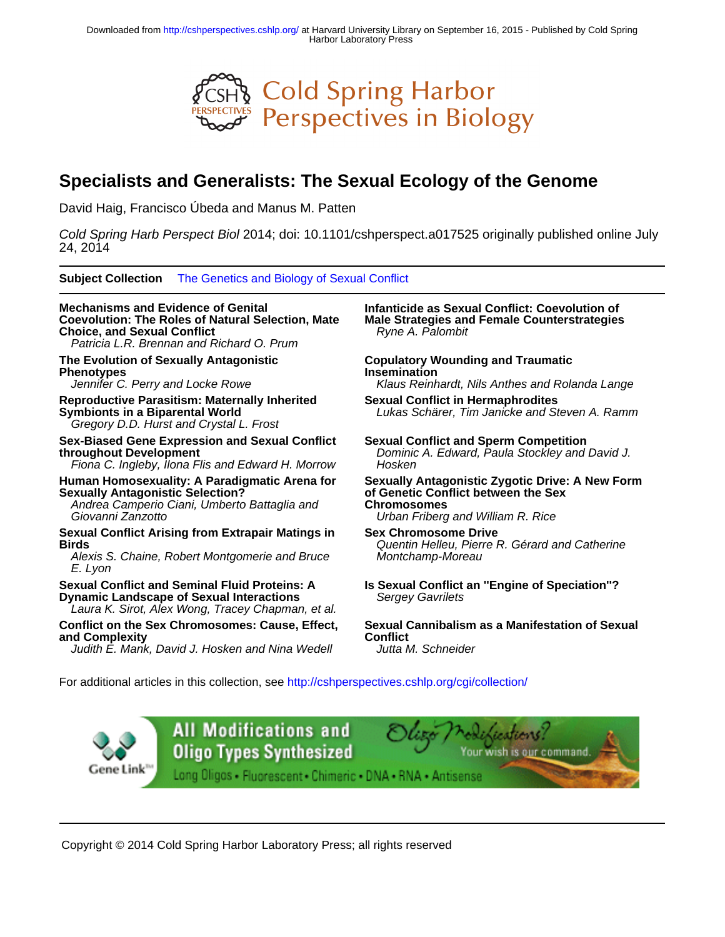

## **Specialists and Generalists: The Sexual Ecology of the Genome**

David Haig, Francisco Úbeda and Manus M. Patten

24, 2014 Cold Spring Harb Perspect Biol 2014; doi: 10.1101/cshperspect.a017525 originally published online July

**Subject Collection** [The Genetics and Biology of Sexual Conflict](http://cshperspectives.cshlp.org/cgi/collection/)

**Choice, and Sexual Conflict Coevolution: The Roles of Natural Selection, Mate Mechanisms and Evidence of Genital** Patricia L.R. Brennan and Richard O. Prum **Male Strategies and Female Counterstrategies Infanticide as Sexual Conflict: Coevolution of** Ryne A. Palombit **Phenotypes The Evolution of Sexually Antagonistic** Jennifer C. Perry and Locke Rowe **Insemination Copulatory Wounding and Traumatic** Klaus Reinhardt, Nils Anthes and Rolanda Lange **Symbionts in a Biparental World Reproductive Parasitism: Maternally Inherited** Gregory D.D. Hurst and Crystal L. Frost **Sexual Conflict in Hermaphrodites** Lukas Schärer, Tim Janicke and Steven A. Ramm **throughout Development Sex-Biased Gene Expression and Sexual Conflict** Fiona C. Ingleby, Ilona Flis and Edward H. Morrow **Sexual Conflict and Sperm Competition** Hosken Dominic A. Edward, Paula Stockley and David J. **Sexually Antagonistic Selection? Human Homosexuality: A Paradigmatic Arena for** Giovanni Zanzotto Andrea Camperio Ciani, Umberto Battaglia and **Chromosomes of Genetic Conflict between the Sex Sexually Antagonistic Zygotic Drive: A New Form** Urban Friberg and William R. Rice **Birds Sexual Conflict Arising from Extrapair Matings in** E. Lyon Alexis S. Chaine, Robert Montgomerie and Bruce **Sex Chromosome Drive** Montchamp-Moreau Quentin Helleu, Pierre R. Gérard and Catherine **Dynamic Landscape of Sexual Interactions Sexual Conflict and Seminal Fluid Proteins: A** Laura K. Sirot, Alex Wong, Tracey Chapman, et al. **Is Sexual Conflict an ''Engine of Speciation''?** Sergey Gavrilets **and Complexity Conflict on the Sex Chromosomes: Cause, Effect,** Judith E. Mank, David J. Hosken and Nina Wedell **Conflict Sexual Cannibalism as a Manifestation of Sexual** Jutta M. Schneider

For additional articles in this collection, see<http://cshperspectives.cshlp.org/cgi/collection/>



Copyright © 2014 Cold Spring Harbor Laboratory Press; all rights reserved